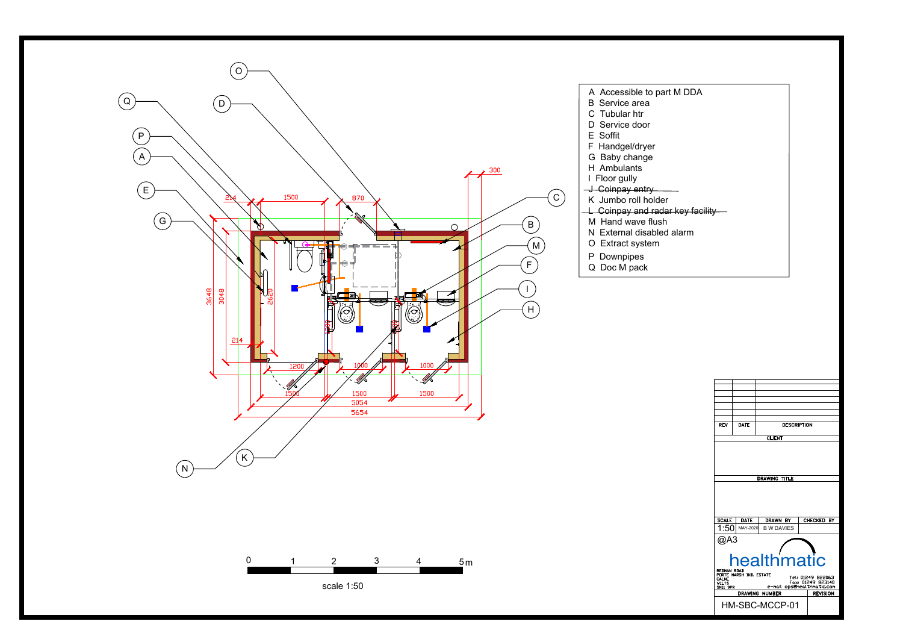

| <b>REV</b>                                                                                                                                                                                       | <b>DATE</b>             | <b>DESCRIPTION</b>            |               |  |  |
|--------------------------------------------------------------------------------------------------------------------------------------------------------------------------------------------------|-------------------------|-------------------------------|---------------|--|--|
|                                                                                                                                                                                                  |                         | <b>CLIENT</b>                 |               |  |  |
| DRAWING TITLE                                                                                                                                                                                    |                         |                               |               |  |  |
| <b>SCALE</b><br>1:50                                                                                                                                                                             | <b>DATE</b><br>MAY-2020 | DRAWN BY<br><b>B W DAVIES</b> | CHECKED<br>BY |  |  |
| @A3                                                                                                                                                                                              |                         |                               |               |  |  |
| healthmatic<br>REDMAN ROAD<br>PORTE MARSH IND. ESTATE<br>Tel: 01249 822063<br>CALNE<br>Fax: 01249 823140<br>e-mail ops@healthmatic.com<br>WILTS<br>SN11 9PR<br>DRAWING NUMBER<br><b>REVISION</b> |                         |                               |               |  |  |
| HM-SBC-MCCP-01                                                                                                                                                                                   |                         |                               |               |  |  |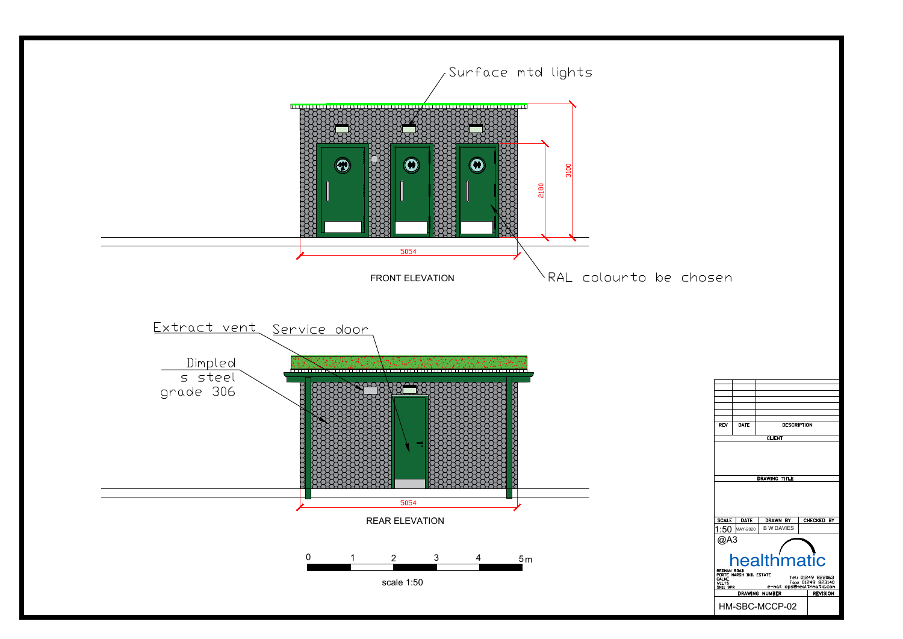

| <b>REV</b>                                                                                 | <b>DATE</b> | <b>DESCRIPTION</b> |                      |  |  |  |  |
|--------------------------------------------------------------------------------------------|-------------|--------------------|----------------------|--|--|--|--|
|                                                                                            |             | <b>CLIENT</b>      |                      |  |  |  |  |
| DRAWING TITLE                                                                              |             |                    |                      |  |  |  |  |
| <b>SCALE</b>                                                                               | <b>DATE</b> | DRAWN BY           | <b>CHECKED</b><br>BY |  |  |  |  |
| 1:50-                                                                                      | MAY-2020    | <b>B W DAVIES</b>  |                      |  |  |  |  |
| @A3<br>healthmatic<br>REDMAN ROAD<br>PORTE MARSH IND. ESTATE<br>Tel: 01249 822063<br>CALNE |             |                    |                      |  |  |  |  |
| Fax: 01249 823140<br><b>VILTS</b><br>e-mail opsehealthmatic.com<br>SN11 <del>9</del> PR    |             |                    |                      |  |  |  |  |
| <b>DRAWING NUMBER</b><br><b>REVISION</b>                                                   |             |                    |                      |  |  |  |  |
| HM-SBC-MCCP-02                                                                             |             |                    |                      |  |  |  |  |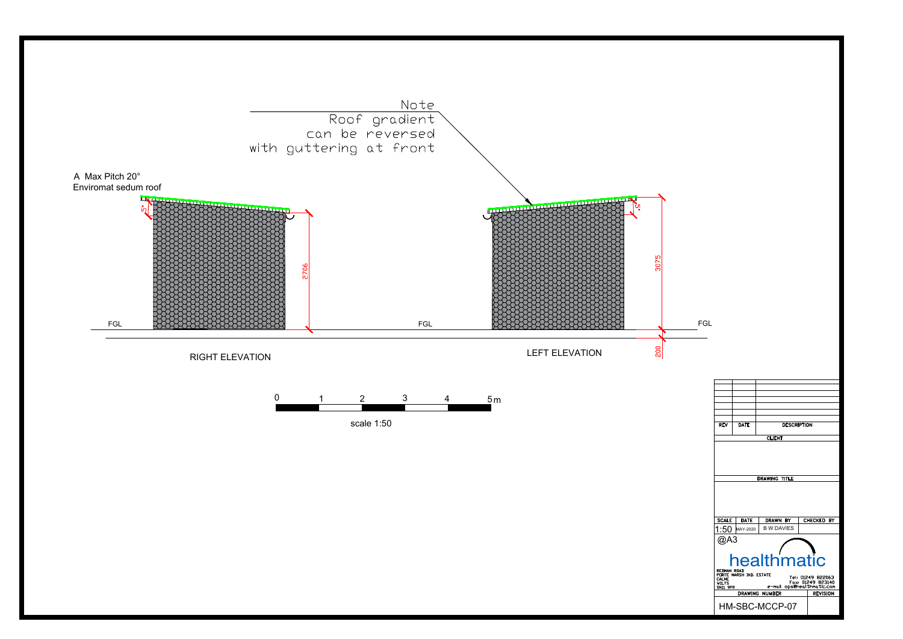

| <b>REV</b>                                                                                                                                                    | <b>DATE</b>   | <b>DESCRIPTION</b> |  |  |  |
|---------------------------------------------------------------------------------------------------------------------------------------------------------------|---------------|--------------------|--|--|--|
|                                                                                                                                                               |               |                    |  |  |  |
|                                                                                                                                                               |               | <b>CLIENT</b>      |  |  |  |
|                                                                                                                                                               | DRAWING TITLE |                    |  |  |  |
| <b>SCALE</b><br><b>DATE</b><br><b>CHECKED</b><br><b>DRAWN BY</b><br>BY                                                                                        |               |                    |  |  |  |
|                                                                                                                                                               | MAY-2020      | <b>B W DAVIES</b>  |  |  |  |
| 1:50                                                                                                                                                          |               |                    |  |  |  |
| @A3                                                                                                                                                           |               |                    |  |  |  |
| healthmatic                                                                                                                                                   |               |                    |  |  |  |
| REDMAN ROAD<br>PORTE MARSH IND. ESTATE<br>Tel: 01249 822063<br>CALNE<br>Fax: 01249 823140<br>ops@healthmatic.com<br><b>WILTS</b><br>e-mail<br><b>SN11 9PR</b> |               |                    |  |  |  |
| <b>DRAWING NUMBER</b><br><b>REVISION</b>                                                                                                                      |               |                    |  |  |  |
| HM-SBC-MCCP-07                                                                                                                                                |               |                    |  |  |  |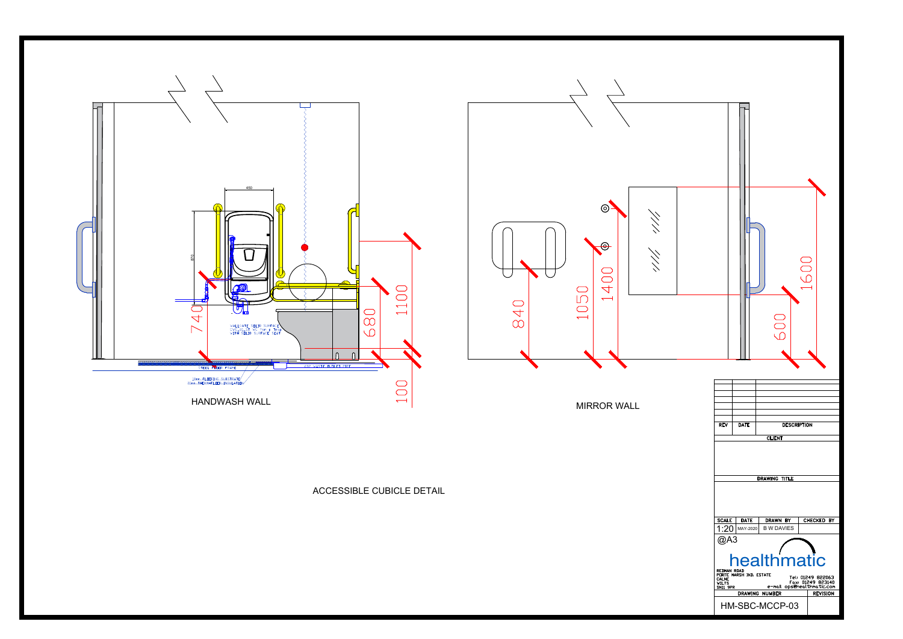

|  |                                                                                                                                                                                                         |                  |                               | 1600       |
|--|---------------------------------------------------------------------------------------------------------------------------------------------------------------------------------------------------------|------------------|-------------------------------|------------|
|  |                                                                                                                                                                                                         |                  | 00<br>0                       |            |
|  |                                                                                                                                                                                                         |                  |                               |            |
|  |                                                                                                                                                                                                         |                  |                               |            |
|  | REV                                                                                                                                                                                                     | <b>DATE</b>      | <b>DESCRIPTION</b>            |            |
|  |                                                                                                                                                                                                         |                  | <b>CLIENT</b>                 |            |
|  | <b>DRAWING TITLE</b>                                                                                                                                                                                    |                  |                               |            |
|  |                                                                                                                                                                                                         |                  |                               |            |
|  | <b>SCALE</b><br>1:20                                                                                                                                                                                    | DATE<br>MAY-2020 | DRAWN BY<br><b>B W DAVIES</b> | CHECKED BY |
|  | @A3<br>healthmatic<br>REDMAN ROAD<br>PORTE MARSH IND. ESTATE<br>Tel: 01249 822063<br>CALNE<br>VILTS<br>Fax: 01249 823140<br>e-mail opsehealthmatic.com<br>SN11 9PR<br>DRAWING NUMBER<br><b>REVISION</b> |                  |                               |            |
|  |                                                                                                                                                                                                         |                  |                               |            |
|  | HM-SBC-MCCP-03                                                                                                                                                                                          |                  |                               |            |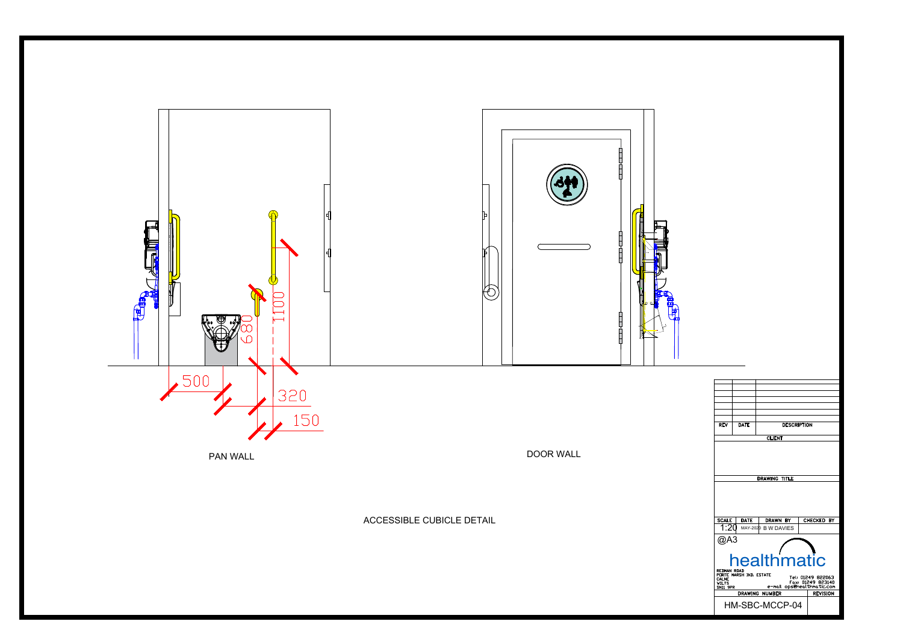

| <b>REV</b>                                                                                                | <b>DATE</b> | <b>DESCRIPTION</b>  |                      |  |  |  |
|-----------------------------------------------------------------------------------------------------------|-------------|---------------------|----------------------|--|--|--|
|                                                                                                           |             | <b>CLIENT</b>       |                      |  |  |  |
|                                                                                                           |             |                     |                      |  |  |  |
|                                                                                                           |             | DRAWING TITLE       |                      |  |  |  |
|                                                                                                           |             |                     |                      |  |  |  |
| <b>SCALE</b>                                                                                              | <b>DATE</b> | DRAWN BY            | <b>CHECKED</b><br>BY |  |  |  |
| 1:20                                                                                                      |             | MAY-2020 B W DAVIES |                      |  |  |  |
| @A3                                                                                                       |             |                     |                      |  |  |  |
| healthmatic<br>REDMAN ROAD<br>PORTE MARSH IND. ESTATE                                                     |             |                     |                      |  |  |  |
| Tel: 01249 822063<br>CALNE<br>Fax: 01249 823140<br><b>WILTS</b><br>e-mail opsehealthmatic.com<br>SN11 9PR |             |                     |                      |  |  |  |
|                                                                                                           |             | DRAWING NUMBER      | <b>REVISION</b>      |  |  |  |
| HM-SBC-MCCP-04                                                                                            |             |                     |                      |  |  |  |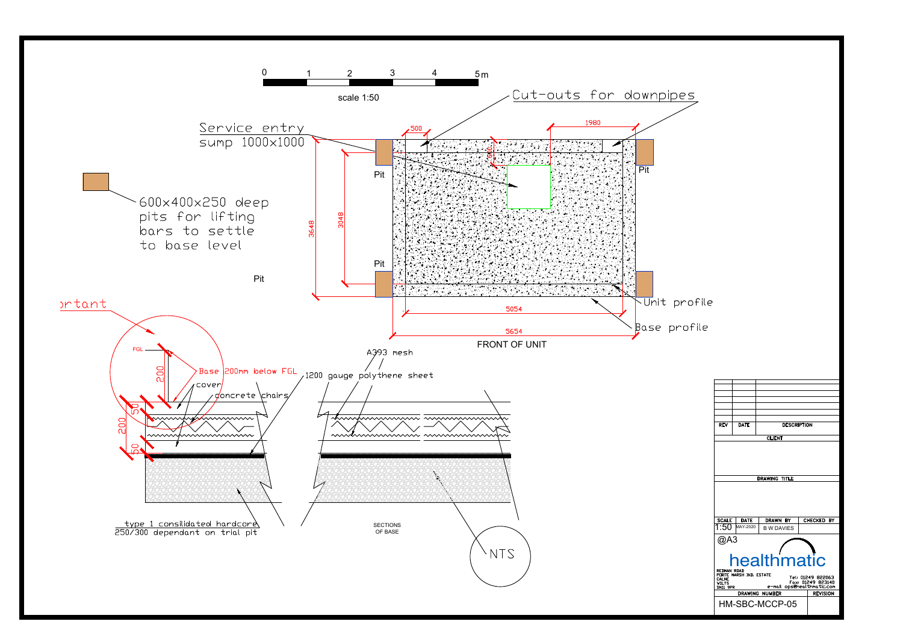

| <b>REV</b>                                                                                                                                                  | <b>DATE</b>              | <b>DESCRIPTION</b>   |                      |  |  |  |
|-------------------------------------------------------------------------------------------------------------------------------------------------------------|--------------------------|----------------------|----------------------|--|--|--|
|                                                                                                                                                             |                          | <b>CLIENT</b>        |                      |  |  |  |
|                                                                                                                                                             |                          |                      |                      |  |  |  |
|                                                                                                                                                             |                          | <b>DRAWING TITLE</b> |                      |  |  |  |
|                                                                                                                                                             |                          |                      |                      |  |  |  |
| <b>SCALE</b>                                                                                                                                                | <b>DATE</b><br>MAY-2020  | <b>DRAWN BY</b>      | <b>CHECKED</b><br>BY |  |  |  |
|                                                                                                                                                             | <b>B W DAVIES</b><br>@A3 |                      |                      |  |  |  |
| healthmatic                                                                                                                                                 |                          |                      |                      |  |  |  |
| REDMAN ROAD<br>PORTE MARSH IND. ESTATE<br>Tel: 01249 822063<br>CALNE<br>Fax: 01249 823140<br>WILTS<br>opsehealthmatic.com<br>e-mail<br>SN11 <del>9</del> PR |                          |                      |                      |  |  |  |
| <b>DRAWING NUMBER</b><br><b>REVISION</b>                                                                                                                    |                          |                      |                      |  |  |  |
| HM-SBC-MCCP-05                                                                                                                                              |                          |                      |                      |  |  |  |